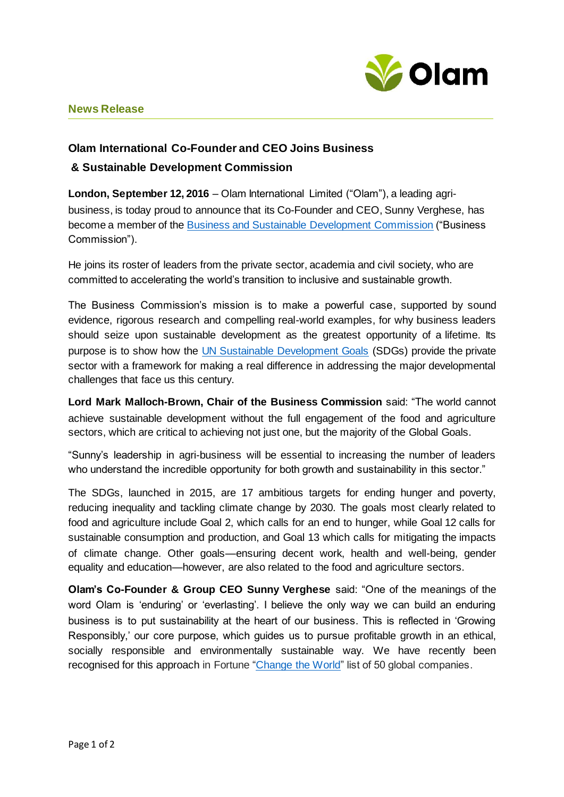

## **News Release**

## **Olam International Co-Founder and CEO Joins Business & Sustainable Development Commission**

**London, September 12, 2016** – Olam International Limited ("Olam"), a leading agribusiness, is today proud to announce that its Co-Founder and CEO, Sunny Verghese, has become a member of the [Business and Sustainable Development Commission](http://businesscommission.org/) ("Business Commission").

He joins its roster of leaders from the private sector, academia and civil society, who are committed to accelerating the world's transition to inclusive and sustainable growth.

The Business Commission's mission is to make a powerful case, supported by sound evidence, rigorous research and compelling real-world examples, for why business leaders should seize upon sustainable development as the greatest opportunity of a lifetime. Its purpose is to show how th[e UN Sustainable Development Goals](http://www.un.org/sustainabledevelopment/sustainable-development-goals/) (SDGs) provide the private sector with a framework for making a real difference in addressing the major developmental challenges that face us this century.

**Lord Mark Malloch-Brown, Chair of the Business Commission** said: "The world cannot achieve sustainable development without the full engagement of the food and agriculture sectors, which are critical to achieving not just one, but the majority of the Global Goals.

"Sunny's leadership in agri-business will be essential to increasing the number of leaders who understand the incredible opportunity for both growth and sustainability in this sector."

The SDGs, launched in 2015, are 17 ambitious targets for ending hunger and poverty, reducing inequality and tackling climate change by 2030. The goals most clearly related to food and agriculture include Goal 2, which calls for an end to hunger, while Goal 12 calls for sustainable consumption and production, and Goal 13 which calls for mitigating the impacts of climate change. Other goals—ensuring decent work, health and well-being, gender equality and education—however, are also related to the food and agriculture sectors.

**Olam's Co-Founder & Group CEO Sunny Verghese** said: "One of the meanings of the word Olam is 'enduring' or 'everlasting'. I believe the only way we can build an enduring business is to put sustainability at the heart of our business. This is reflected in 'Growing Responsibly,' our core purpose, which guides us to pursue profitable growth in an ethical, socially responsible and environmentally sustainable way. We have recently been recognised for this approach in Fortune ["Change the World"](http://beta.fortune.com/change-the-world) list of 50 global companies.